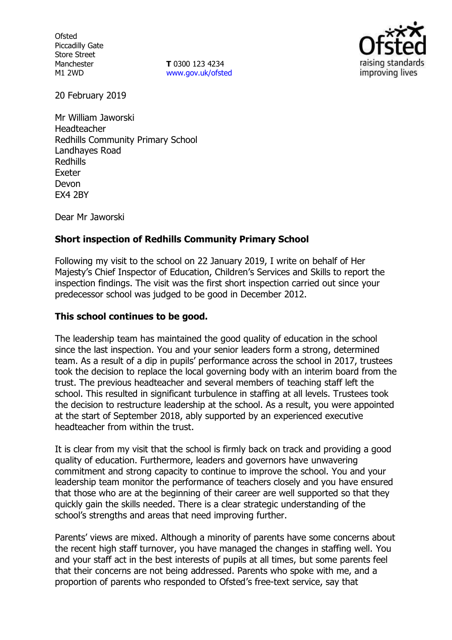**Ofsted** Piccadilly Gate Store Street Manchester M1 2WD

**T** 0300 123 4234 [www.gov.uk/ofsted](http://www.gov.uk/ofsted)



20 February 2019

Mr William Jaworski Headteacher Redhills Community Primary School Landhayes Road Redhills Exeter Devon EX4 2BY

Dear Mr Jaworski

## **Short inspection of Redhills Community Primary School**

Following my visit to the school on 22 January 2019, I write on behalf of Her Majesty's Chief Inspector of Education, Children's Services and Skills to report the inspection findings. The visit was the first short inspection carried out since your predecessor school was judged to be good in December 2012.

### **This school continues to be good.**

The leadership team has maintained the good quality of education in the school since the last inspection. You and your senior leaders form a strong, determined team. As a result of a dip in pupils' performance across the school in 2017, trustees took the decision to replace the local governing body with an interim board from the trust. The previous headteacher and several members of teaching staff left the school. This resulted in significant turbulence in staffing at all levels. Trustees took the decision to restructure leadership at the school. As a result, you were appointed at the start of September 2018, ably supported by an experienced executive headteacher from within the trust.

It is clear from my visit that the school is firmly back on track and providing a good quality of education. Furthermore, leaders and governors have unwavering commitment and strong capacity to continue to improve the school. You and your leadership team monitor the performance of teachers closely and you have ensured that those who are at the beginning of their career are well supported so that they quickly gain the skills needed. There is a clear strategic understanding of the school's strengths and areas that need improving further.

Parents' views are mixed. Although a minority of parents have some concerns about the recent high staff turnover, you have managed the changes in staffing well. You and your staff act in the best interests of pupils at all times, but some parents feel that their concerns are not being addressed. Parents who spoke with me, and a proportion of parents who responded to Ofsted's free-text service, say that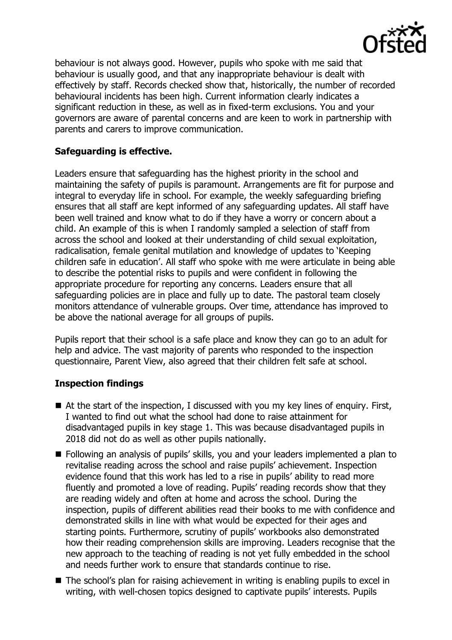

behaviour is not always good. However, pupils who spoke with me said that behaviour is usually good, and that any inappropriate behaviour is dealt with effectively by staff. Records checked show that, historically, the number of recorded behavioural incidents has been high. Current information clearly indicates a significant reduction in these, as well as in fixed-term exclusions. You and your governors are aware of parental concerns and are keen to work in partnership with parents and carers to improve communication.

# **Safeguarding is effective.**

Leaders ensure that safeguarding has the highest priority in the school and maintaining the safety of pupils is paramount. Arrangements are fit for purpose and integral to everyday life in school. For example, the weekly safeguarding briefing ensures that all staff are kept informed of any safeguarding updates. All staff have been well trained and know what to do if they have a worry or concern about a child. An example of this is when I randomly sampled a selection of staff from across the school and looked at their understanding of child sexual exploitation, radicalisation, female genital mutilation and knowledge of updates to 'Keeping children safe in education'. All staff who spoke with me were articulate in being able to describe the potential risks to pupils and were confident in following the appropriate procedure for reporting any concerns. Leaders ensure that all safeguarding policies are in place and fully up to date. The pastoral team closely monitors attendance of vulnerable groups. Over time, attendance has improved to be above the national average for all groups of pupils.

Pupils report that their school is a safe place and know they can go to an adult for help and advice. The vast majority of parents who responded to the inspection questionnaire, Parent View, also agreed that their children felt safe at school.

## **Inspection findings**

- At the start of the inspection, I discussed with you my key lines of enquiry. First, I wanted to find out what the school had done to raise attainment for disadvantaged pupils in key stage 1. This was because disadvantaged pupils in 2018 did not do as well as other pupils nationally.
- **Following an analysis of pupils' skills, you and your leaders implemented a plan to** revitalise reading across the school and raise pupils' achievement. Inspection evidence found that this work has led to a rise in pupils' ability to read more fluently and promoted a love of reading. Pupils' reading records show that they are reading widely and often at home and across the school. During the inspection, pupils of different abilities read their books to me with confidence and demonstrated skills in line with what would be expected for their ages and starting points. Furthermore, scrutiny of pupils' workbooks also demonstrated how their reading comprehension skills are improving. Leaders recognise that the new approach to the teaching of reading is not yet fully embedded in the school and needs further work to ensure that standards continue to rise.
- The school's plan for raising achievement in writing is enabling pupils to excel in writing, with well-chosen topics designed to captivate pupils' interests. Pupils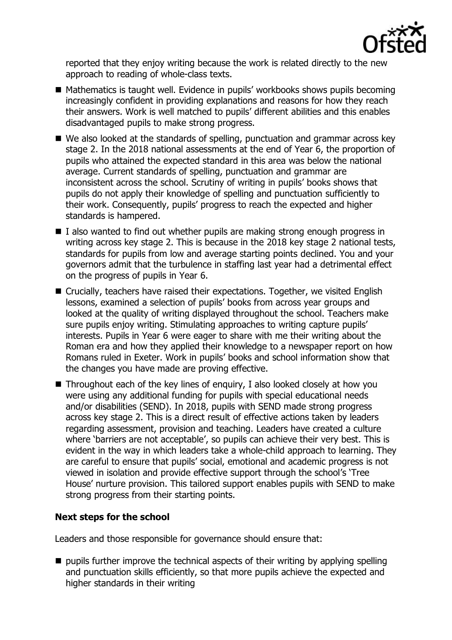

reported that they enjoy writing because the work is related directly to the new approach to reading of whole-class texts.

- Mathematics is taught well. Evidence in pupils' workbooks shows pupils becoming increasingly confident in providing explanations and reasons for how they reach their answers. Work is well matched to pupils' different abilities and this enables disadvantaged pupils to make strong progress.
- We also looked at the standards of spelling, punctuation and grammar across key stage 2. In the 2018 national assessments at the end of Year 6, the proportion of pupils who attained the expected standard in this area was below the national average. Current standards of spelling, punctuation and grammar are inconsistent across the school. Scrutiny of writing in pupils' books shows that pupils do not apply their knowledge of spelling and punctuation sufficiently to their work. Consequently, pupils' progress to reach the expected and higher standards is hampered.
- $\blacksquare$  I also wanted to find out whether pupils are making strong enough progress in writing across key stage 2. This is because in the 2018 key stage 2 national tests, standards for pupils from low and average starting points declined. You and your governors admit that the turbulence in staffing last year had a detrimental effect on the progress of pupils in Year 6.
- Crucially, teachers have raised their expectations. Together, we visited English lessons, examined a selection of pupils' books from across year groups and looked at the quality of writing displayed throughout the school. Teachers make sure pupils enjoy writing. Stimulating approaches to writing capture pupils' interests. Pupils in Year 6 were eager to share with me their writing about the Roman era and how they applied their knowledge to a newspaper report on how Romans ruled in Exeter. Work in pupils' books and school information show that the changes you have made are proving effective.
- $\blacksquare$  Throughout each of the key lines of enguiry, I also looked closely at how you were using any additional funding for pupils with special educational needs and/or disabilities (SEND). In 2018, pupils with SEND made strong progress across key stage 2. This is a direct result of effective actions taken by leaders regarding assessment, provision and teaching. Leaders have created a culture where 'barriers are not acceptable', so pupils can achieve their very best. This is evident in the way in which leaders take a whole-child approach to learning. They are careful to ensure that pupils' social, emotional and academic progress is not viewed in isolation and provide effective support through the school's 'Tree House' nurture provision. This tailored support enables pupils with SEND to make strong progress from their starting points.

## **Next steps for the school**

Leaders and those responsible for governance should ensure that:

 $\blacksquare$  pupils further improve the technical aspects of their writing by applying spelling and punctuation skills efficiently, so that more pupils achieve the expected and higher standards in their writing